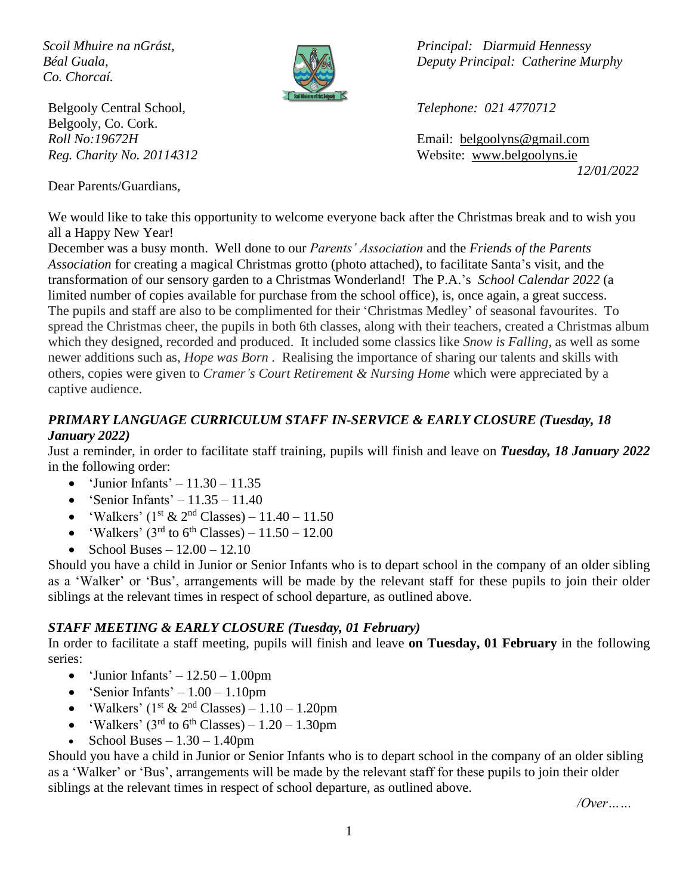*Co. Chorcaí.*



Belgooly Central School, *Telephone: 021 4770712* Belgooly, Co. Cork.

Dear Parents/Guardians,

*Scoil Mhuire na nGrást, Principal: Diarmuid Hennessy Béal Guala, Deputy Principal: Catherine Murphy*

*Roll No:19672H* Email: [belgoolyns@gmail.com](mailto:belgoolyns@gmail.com) *Reg. Charity No. 20114312* Website: [www.belgoolyns.ie](http://www.belgoolyns.scoilnet.ie/) *12/01/2022*

We would like to take this opportunity to welcome everyone back after the Christmas break and to wish you all a Happy New Year!

December was a busy month. Well done to our *Parents' Association* and the *Friends of the Parents Association* for creating a magical Christmas grotto (photo attached), to facilitate Santa's visit, and the transformation of our sensory garden to a Christmas Wonderland! The P.A.'s *School Calendar 2022* (a limited number of copies available for purchase from the school office), is, once again, a great success. The pupils and staff are also to be complimented for their 'Christmas Medley' of seasonal favourites. To spread the Christmas cheer, the pupils in both 6th classes, along with their teachers, created a Christmas album which they designed, recorded and produced. It included some classics like *Snow is Falling,* as well as some newer additions such as, *Hope was Born .* Realising the importance of sharing our talents and skills with others, copies were given to *Cramer's Court Retirement & Nursing Home* which were appreciated by a captive audience.

## *PRIMARY LANGUAGE CURRICULUM STAFF IN-SERVICE & EARLY CLOSURE (Tuesday, 18 January 2022)*

Just a reminder, in order to facilitate staff training, pupils will finish and leave on *Tuesday, 18 January 2022* in the following order:

- 'Junior Infants'  $11.30 11.35$
- 'Senior Infants'  $11.35 11.40$
- 'Walkers' ( $1^{\text{st}}$  &  $2^{\text{nd}}$  Classes) 11.40 11.50
- 'Walkers' ( $3<sup>rd</sup>$  to  $6<sup>th</sup>$  Classes) 11.50 12.00
- School Buses  $12.00 12.10$

Should you have a child in Junior or Senior Infants who is to depart school in the company of an older sibling as a 'Walker' or 'Bus', arrangements will be made by the relevant staff for these pupils to join their older siblings at the relevant times in respect of school departure, as outlined above.

#### *STAFF MEETING & EARLY CLOSURE (Tuesday, 01 February)*

In order to facilitate a staff meeting, pupils will finish and leave **on Tuesday, 01 February** in the following series:

- 'Junior Infants'  $-12.50 1.00$ pm
- 'Senior Infants'  $1.00 1.10$ pm
- 'Walkers' ( $1<sup>st</sup> \& 2<sup>nd</sup>$  Classes)  $1.10 1.20$ pm
- 'Walkers' ( $3<sup>rd</sup>$  to  $6<sup>th</sup>$  Classes) 1.20 1.30pm
- School Buses  $-1.30 1.40$ pm

Should you have a child in Junior or Senior Infants who is to depart school in the company of an older sibling as a 'Walker' or 'Bus', arrangements will be made by the relevant staff for these pupils to join their older siblings at the relevant times in respect of school departure, as outlined above.

*/Over……*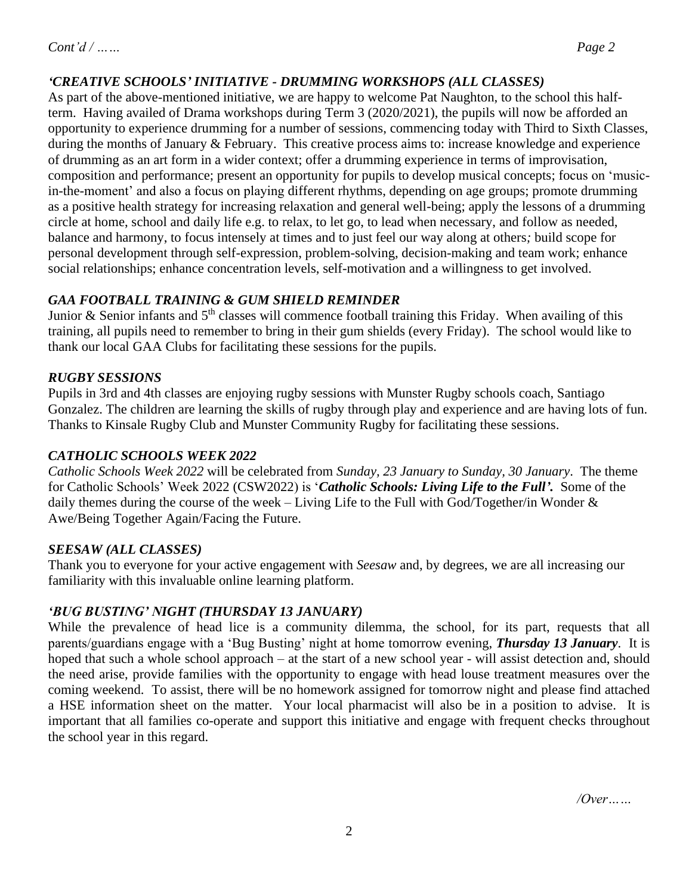# *'CREATIVE SCHOOLS' INITIATIVE - DRUMMING WORKSHOPS (ALL CLASSES)*

As part of the above-mentioned initiative, we are happy to welcome Pat Naughton, to the school this halfterm. Having availed of Drama workshops during Term 3 (2020/2021), the pupils will now be afforded an opportunity to experience drumming for a number of sessions, commencing today with Third to Sixth Classes, during the months of January & February. This creative process aims to: increase knowledge and experience of drumming as an art form in a wider context; offer a drumming experience in terms of improvisation, composition and performance; present an opportunity for pupils to develop musical concepts; focus on 'musicin-the-moment' and also a focus on playing different rhythms, depending on age groups; promote drumming as a positive health strategy for increasing relaxation and general well-being; apply the lessons of a drumming circle at home, school and daily life e.g. to relax, to let go, to lead when necessary, and follow as needed, balance and harmony, to focus intensely at times and to just feel our way along at others*;* build scope for personal development through self-expression, problem-solving, decision-making and team work; enhance social relationships; enhance concentration levels, self-motivation and a willingness to get involved.

## *GAA FOOTBALL TRAINING & GUM SHIELD REMINDER*

Junior & Senior infants and  $5<sup>th</sup>$  classes will commence football training this Friday. When availing of this training, all pupils need to remember to bring in their gum shields (every Friday). The school would like to thank our local GAA Clubs for facilitating these sessions for the pupils.

## *RUGBY SESSIONS*

Pupils in 3rd and 4th classes are enjoying rugby sessions with Munster Rugby schools coach, Santiago Gonzalez. The children are learning the skills of rugby through play and experience and are having lots of fun. Thanks to Kinsale Rugby Club and Munster Community Rugby for facilitating these sessions.

### *CATHOLIC SCHOOLS WEEK 2022*

*Catholic Schools Week 2022* will be celebrated from *Sunday, 23 January to Sunday, 30 January*. The theme for Catholic Schools' Week 2022 (CSW2022) is '*Catholic Schools: Living Life to the Full'.* Some of the daily themes during the course of the week – Living Life to the Full with God/Together/in Wonder  $\&$ Awe/Being Together Again/Facing the Future.

#### *SEESAW (ALL CLASSES)*

Thank you to everyone for your active engagement with *Seesaw* and, by degrees, we are all increasing our familiarity with this invaluable online learning platform.

# *'BUG BUSTING' NIGHT (THURSDAY 13 JANUARY)*

While the prevalence of head lice is a community dilemma, the school, for its part, requests that all parents/guardians engage with a 'Bug Busting' night at home tomorrow evening, *Thursday 13 January*. It is hoped that such a whole school approach – at the start of a new school year - will assist detection and, should the need arise, provide families with the opportunity to engage with head louse treatment measures over the coming weekend. To assist, there will be no homework assigned for tomorrow night and please find attached a HSE information sheet on the matter. Your local pharmacist will also be in a position to advise. It is important that all families co-operate and support this initiative and engage with frequent checks throughout the school year in this regard.